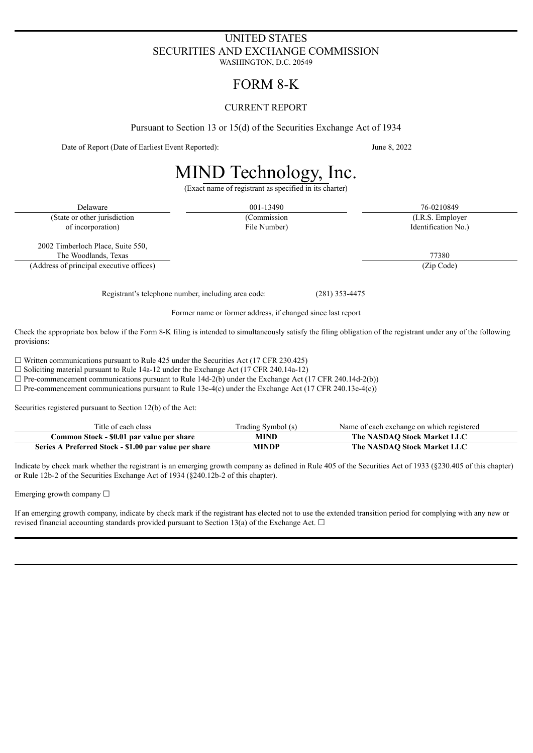# UNITED STATES SECURITIES AND EXCHANGE COMMISSION

WASHINGTON, D.C. 20549

# FORM 8-K

# CURRENT REPORT

Pursuant to Section 13 or 15(d) of the Securities Exchange Act of 1934

Date of Report (Date of Earliest Event Reported): June 8, 2022

# MIND Technology, Inc.

(Exact name of registrant as specified in its charter)

Delaware 26-0210849 26-0210849 26-0210849 26-0210849 26-0210849 (State or other jurisdiction (Commission (I.R.S. Employer of incorporation) File Number) Identification No.)

2002 Timberloch Place, Suite 550, The Woodlands, Texas 77380

(Address of principal executive offices) (Zip Code)

Registrant's telephone number, including area code: (281) 353-4475

Former name or former address, if changed since last report

Check the appropriate box below if the Form 8-K filing is intended to simultaneously satisfy the filing obligation of the registrant under any of the following provisions:

 $\Box$  Written communications pursuant to Rule 425 under the Securities Act (17 CFR 230.425)

 $\Box$  Soliciting material pursuant to Rule 14a-12 under the Exchange Act (17 CFR 240.14a-12)

 $\Box$  Pre-commencement communications pursuant to Rule 14d-2(b) under the Exchange Act (17 CFR 240.14d-2(b))

 $\Box$  Pre-commencement communications pursuant to Rule 13e-4(c) under the Exchange Act (17 CFR 240.13e-4(c))

Securities registered pursuant to Section 12(b) of the Act:

| Title of each class                                   | Trading Symbol (s) | Name of each exchange on which registered |
|-------------------------------------------------------|--------------------|-------------------------------------------|
| Common Stock - \$0.01 par value per share             | MIND               | The NASDAO Stock Market LLC               |
| Series A Preferred Stock - \$1.00 par value per share | MINDP              | The NASDAO Stock Market LLC               |

Indicate by check mark whether the registrant is an emerging growth company as defined in Rule 405 of the Securities Act of 1933 (§230.405 of this chapter) or Rule 12b-2 of the Securities Exchange Act of 1934 (§240.12b-2 of this chapter).

Emerging growth company  $\Box$ 

If an emerging growth company, indicate by check mark if the registrant has elected not to use the extended transition period for complying with any new or revised financial accounting standards provided pursuant to Section 13(a) of the Exchange Act.  $\Box$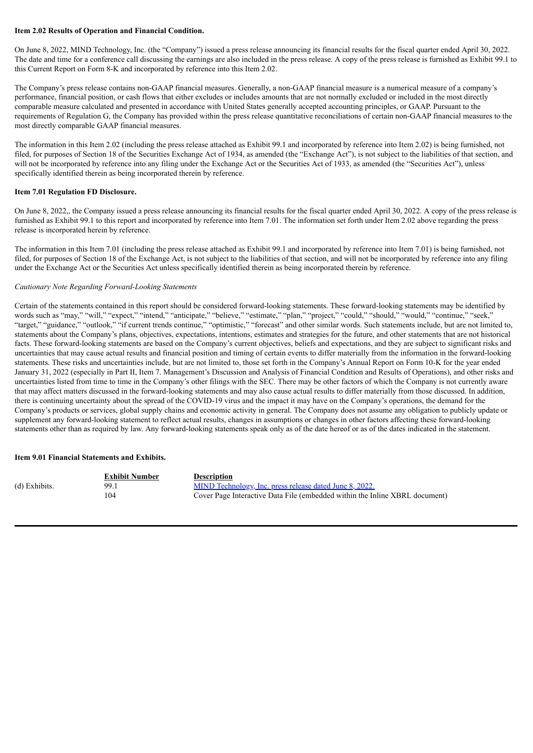# **Item 2.02 Results of Operation and Financial Condition.**

On June 8, 2022, MIND Technology, Inc. (the "Company") issued a press release announcing its financial results for the fiscal quarter ended April 30, 2022. The date and time for a conference call discussing the earnings are also included in the press release. A copy of the press release is furnished as Exhibit 99.1 to this Current Report on Form 8-K and incorporated by reference into this Item 2.02.

The Company's press release contains non-GAAP financial measures. Generally, a non-GAAP financial measure is a numerical measure of a company's performance, financial position, or cash flows that either excludes or includes amounts that are not normally excluded or included in the most directly comparable measure calculated and presented in accordance with United States generally accepted accounting principles, or GAAP. Pursuant to the requirements of Regulation G, the Company has provided within the press release quantitative reconciliations of certain non-GAAP financial measures to the most directly comparable GAAP financial measures.

The information in this Item 2.02 (including the press release attached as Exhibit 99.1 and incorporated by reference into Item 2.02) is being furnished, not filed, for purposes of Section 18 of the Securities Exchange Act of 1934, as amended (the "Exchange Act"), is not subject to the liabilities of that section, and will not be incorporated by reference into any filing under the Exchange Act or the Securities Act of 1933, as amended (the "Securities Act"), unless specifically identified therein as being incorporated therein by reference.

# **Item 7.01 Regulation FD Disclosure.**

On June 8, 2022,, the Company issued a press release announcing its financial results for the fiscal quarter ended April 30, 2022. A copy of the press release is furnished as Exhibit 99.1 to this report and incorporated by reference into Item 7.01. The information set forth under Item 2.02 above regarding the press release is incorporated herein by reference.

The information in this Item 7.01 (including the press release attached as Exhibit 99.1 and incorporated by reference into Item 7.01) is being furnished, not filed, for purposes of Section 18 of the Exchange Act, is not subject to the liabilities of that section, and will not be incorporated by reference into any filing under the Exchange Act or the Securities Act unless specifically identified therein as being incorporated therein by reference.

# *Cautionary Note Regarding Forward-Looking Statements*

Certain of the statements contained in this report should be considered forward-looking statements. These forward-looking statements may be identified by words such as "may," "will," "expect," "intend," "anticipate," "believe," "estimate," "plan," "project," "could," "should," "would," "continue," "seek," "target," "guidance," "outlook," "if current trends continue," "optimistic," "forecast" and other similar words. Such statements include, but are not limited to, statements about the Company's plans, objectives, expectations, intentions, estimates and strategies for the future, and other statements that are not historical facts. These forward-looking statements are based on the Company's current objectives, beliefs and expectations, and they are subject to significant risks and uncertainties that may cause actual results and financial position and timing of certain events to differ materially from the information in the forward-looking statements. These risks and uncertainties include, but are not limited to, those set forth in the Company's Annual Report on Form 10-K for the year ended January 31, 2022 (especially in Part II, Item 7. Management's Discussion and Analysis of Financial Condition and Results of Operations), and other risks and uncertainties listed from time to time in the Company's other filings with the SEC. There may be other factors of which the Company is not currently aware that may affect matters discussed in the forward-looking statements and may also cause actual results to differ materially from those discussed. In addition, there is continuing uncertainty about the spread of the COVID-19 virus and the impact it may have on the Company's operations, the demand for the Company's products or services, global supply chains and economic activity in general. The Company does not assume any obligation to publicly update or supplement any forward-looking statement to reflect actual results, changes in assumptions or changes in other factors affecting these forward-looking statements other than as required by law. Any forward-looking statements speak only as of the date hereof or as of the dates indicated in the statement.

#### **Item 9.01 Financial Statements and Exhibits.**

|               | <b>Exhibit Number</b> | <b>Description</b>                                                          |
|---------------|-----------------------|-----------------------------------------------------------------------------|
| (d) Exhibits. | 99.1                  | MIND Technology, Inc. press release dated June 8, 2022.                     |
|               | 104                   | Cover Page Interactive Data File (embedded within the Inline XBRL document) |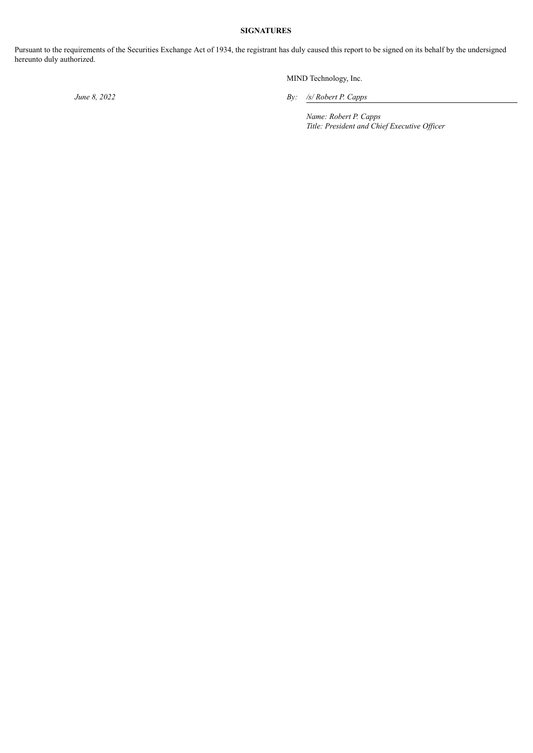# **SIGNATURES**

Pursuant to the requirements of the Securities Exchange Act of 1934, the registrant has duly caused this report to be signed on its behalf by the undersigned hereunto duly authorized.

MIND Technology, Inc.

*June 8, 2022 By: /s/ Robert P. Capps*

*Name: Robert P. Capps Title: President and Chief Executive Of icer*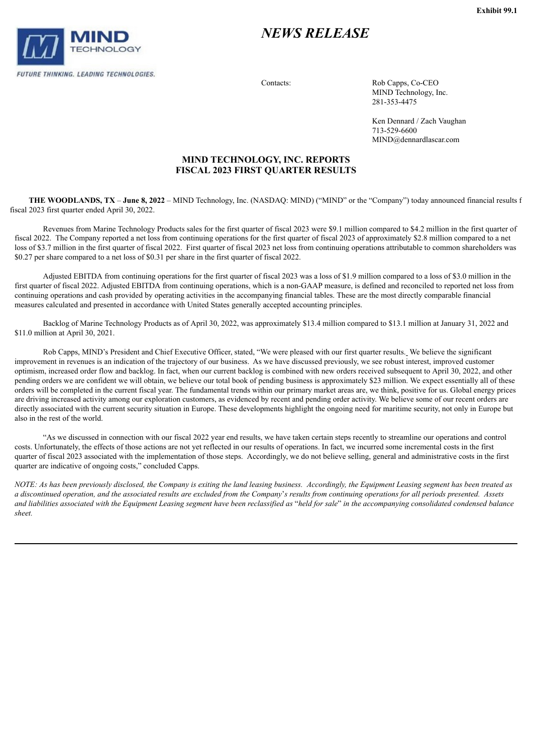<span id="page-3-0"></span>

# *NEWS RELEASE*

Contacts: Rob Capps, Co-CEO MIND Technology, Inc. 281-353-4475

> Ken Dennard / Zach Vaughan 713-529-6600 MIND@dennardlascar.com

# **MIND TECHNOLOGY, INC. REPORTS FISCAL 2023 FIRST QUARTER RESULTS**

**THE WOODLANDS, TX** – **June 8, 2022** – MIND Technology, Inc. (NASDAQ: MIND) ("MIND" or the "Company") today announced financial results f fiscal 2023 first quarter ended April 30, 2022.

Revenues from Marine Technology Products sales for the first quarter of fiscal 2023 were \$9.1 million compared to \$4.2 million in the first quarter of fiscal 2022. The Company reported a net loss from continuing operations for the first quarter of fiscal 2023 of approximately \$2.8 million compared to a net loss of \$3.7 million in the first quarter of fiscal 2022. First quarter of fiscal 2023 net loss from continuing operations attributable to common shareholders was \$0.27 per share compared to a net loss of \$0.31 per share in the first quarter of fiscal 2022.

Adjusted EBITDA from continuing operations for the first quarter of fiscal 2023 was a loss of \$1.9 million compared to a loss of \$3.0 million in the first quarter of fiscal 2022. Adjusted EBITDA from continuing operations, which is a non-GAAP measure, is defined and reconciled to reported net loss from continuing operations and cash provided by operating activities in the accompanying financial tables. These are the most directly comparable financial measures calculated and presented in accordance with United States generally accepted accounting principles.

Backlog of Marine Technology Products as of April 30, 2022, was approximately \$13.4 million compared to \$13.1 million at January 31, 2022 and \$11.0 million at April 30, 2021.

Rob Capps, MIND's President and Chief Executive Officer, stated, "We were pleased with our first quarter results. We believe the significant improvement in revenues is an indication of the trajectory of our business. As we have discussed previously, we see robust interest, improved customer optimism, increased order flow and backlog. In fact, when our current backlog is combined with new orders received subsequent to April 30, 2022, and other pending orders we are confident we will obtain, we believe our total book of pending business is approximately \$23 million. We expect essentially all of these orders will be completed in the current fiscal year. The fundamental trends within our primary market areas are, we think, positive for us. Global energy prices are driving increased activity among our exploration customers, as evidenced by recent and pending order activity. We believe some of our recent orders are directly associated with the current security situation in Europe. These developments highlight the ongoing need for maritime security, not only in Europe but also in the rest of the world.

"As we discussed in connection with our fiscal 2022 year end results, we have taken certain steps recently to streamline our operations and control costs. Unfortunately, the effects of those actions are not yet reflected in our results of operations. In fact, we incurred some incremental costs in the first quarter of fiscal 2023 associated with the implementation of those steps. Accordingly, we do not believe selling, general and administrative costs in the first quarter are indicative of ongoing costs," concluded Capps.

NOTE: As has been previously disclosed, the Company is exiting the land leasing business. Accordingly, the Equipment Leasing segment has been treated as a discontinued operation, and the associated results are excluded from the Company's results from continuing operations for all periods presented. Assets and liabilities associated with the Equipment Leasing segment have been reclassified as "held for sale" in the accompanying consolidated condensed balance *sheet.*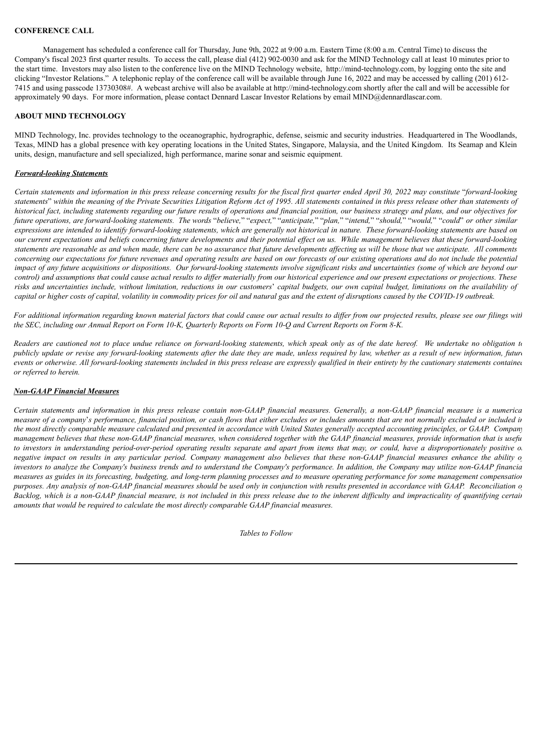# **CONFERENCE CALL**

Management has scheduled a conference call for Thursday, June 9th, 2022 at 9:00 a.m. Eastern Time (8:00 a.m. Central Time) to discuss the Company's fiscal 2023 first quarter results. To access the call, please dial (412) 902-0030 and ask for the MIND Technology call at least 10 minutes prior to the start time. Investors may also listen to the conference live on the MIND Technology website, http://mind-technology.com, by logging onto the site and clicking "Investor Relations." A telephonic replay of the conference call will be available through June 16, 2022 and may be accessed by calling (201) 612- 7415 and using passcode 13730308#. A webcast archive will also be available at http://mind-technology.com shortly after the call and will be accessible for approximately 90 days. For more information, please contact Dennard Lascar Investor Relations by email MIND@dennardlascar.com.

# **ABOUT MIND TECHNOLOGY**

MIND Technology, Inc. provides technology to the oceanographic, hydrographic, defense, seismic and security industries. Headquartered in The Woodlands, Texas, MIND has a global presence with key operating locations in the United States, Singapore, Malaysia, and the United Kingdom. Its Seamap and Klein units, design, manufacture and sell specialized, high performance, marine sonar and seismic equipment.

### *Forward-looking Statements*

Certain statements and information in this press release concerning results for the fiscal first quarter ended April 30, 2022 may constitute "forward-looking statements" within the meaning of the Private Securities Litigation Reform Act of 1995. All statements contained in this press release other than statements of historical fact, including statements regarding our future results of operations and financial position, our business strategy and plans, and our objectives for future operations, are forward-looking statements. The words "believe," "expect," "anticipate," "plan," "intend," "should," "would," "could" or other similar expressions are intended to identify forward-looking statements, which are generally not historical in nature. These forward-looking statements are based on our current expectations and beliefs concerning future developments and their potential effect on us. While management believes that these forward-looking statements are reasonable as and when made, there can be no assurance that future developments affecting us will be those that we anticipate. All comments concerning our expectations for future revenues and operating results are based on our forecasts of our existing operations and do not include the potential impact of any future acquisitions or dispositions. Our forward-looking statements involve significant risks and uncertainties (some of which are beyond our control) and assumptions that could cause actual results to differ materially from our historical experience and our present expectations or projections. These risks and uncertainties include, without limitation, reductions in our customers' capital budgets, our own capital budget, limitations on the availability of capital or higher costs of capital, volatility in commodity prices for oil and natural gas and the extent of disruptions caused by the COVID-19 outbreak.

For additional information regarding known material factors that could cause our actual results to differ from our projected results, please see our filings with the SEC, including our Annual Report on Form 10-K, Quarterly Reports on Form 10-Q and Current Reports on Form 8-K.

Readers are cautioned not to place undue reliance on forward-looking statements, which speak only as of the date hereof. We undertake no obligation to publicly update or revise any forward-looking statements after the date they are made, unless required by law, whether as a result of new information, future events or otherwise. All forward-looking statements included in this press release are expressly qualified in their entirety by the cautionary statements contained *or referred to herein.*

#### *Non-GAAP Financial Measures*

Certain statements and information in this press release contain non-GAAP financial measures. Generally, a non-GAAP financial measure is a numerica measure of a company's performance, financial position, or cash flows that either excludes or includes amounts that are not normally excluded or included in the most directly comparable measure calculated and presented in accordance with United States generally accepted accounting principles, or GAAP. Company management believes that these non-GAAP financial measures, when considered together with the GAAP financial measures, provide information that is usefu to investors in understanding period-over-period operating results separate and apart from items that may, or could, have a disproportionately positive of negative impact on results in any particular period. Company management also believes that these non-GAAP financial measures enhance the ability of investors to analyze the Company's business trends and to understand the Company's performance. In addition, the Company may utilize non-GAAP financia measures as guides in its forecasting, budgeting, and long-term planning processes and to measure operating performance for some management compensation purposes. Any analysis of non-GAAP financial measures should be used only in conjunction with results presented in accordance with GAAP. Reconciliation o Backlog, which is a non-GAAP financial measure, is not included in this press release due to the inherent difficulty and impracticality of quantifying certain *amounts that would be required to calculate the most directly comparable GAAP financial measures.*

*Tables to Follow*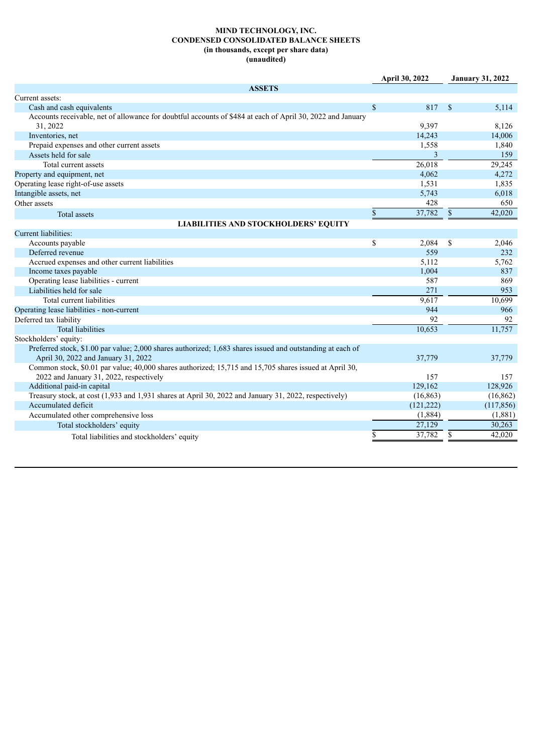## **MIND TECHNOLOGY, INC. CONDENSED CONSOLIDATED BALANCE SHEETS (in thousands, except per share data) (unaudited)**

|                                                                                                            | April 30, 2022 |              | <b>January 31, 2022</b> |
|------------------------------------------------------------------------------------------------------------|----------------|--------------|-------------------------|
| <b>ASSETS</b>                                                                                              |                |              |                         |
| Current assets:                                                                                            |                |              |                         |
| Cash and cash equivalents                                                                                  | \$<br>817      | <sup>S</sup> | 5,114                   |
| Accounts receivable, net of allowance for doubtful accounts of \$484 at each of April 30, 2022 and January |                |              |                         |
| 31, 2022                                                                                                   | 9.397          |              | 8,126                   |
| Inventories, net                                                                                           | 14,243         |              | 14,006                  |
| Prepaid expenses and other current assets                                                                  | 1,558          |              | 1,840                   |
| Assets held for sale                                                                                       | 3              |              | 159                     |
| Total current assets                                                                                       | 26,018         |              | 29,245                  |
| Property and equipment, net                                                                                | 4,062          |              | 4,272                   |
| Operating lease right-of-use assets                                                                        | 1,531          |              | 1,835                   |
| Intangible assets, net                                                                                     | 5,743          |              | 6,018                   |
| Other assets                                                                                               | 428            |              | 650                     |
| <b>Total assets</b>                                                                                        | \$<br>37,782   | \$           | 42,020                  |
| <b>LIABILITIES AND STOCKHOLDERS' EQUITY</b>                                                                |                |              |                         |
| Current liabilities:                                                                                       |                |              |                         |
| Accounts payable                                                                                           | \$<br>2,084    | \$           | 2,046                   |
| Deferred revenue                                                                                           | 559            |              | 232                     |
| Accrued expenses and other current liabilities                                                             | 5,112          |              | 5,762                   |
| Income taxes payable                                                                                       | 1,004          |              | 837                     |
| Operating lease liabilities - current                                                                      | 587            |              | 869                     |
| Liabilities held for sale                                                                                  | 271            |              | 953                     |
| Total current liabilities                                                                                  | 9,617          |              | 10,699                  |
| Operating lease liabilities - non-current                                                                  | 944            |              | 966                     |
| Deferred tax liability                                                                                     | 92             |              | 92                      |
| <b>Total liabilities</b>                                                                                   | 10,653         |              | 11,757                  |
| Stockholders' equity:                                                                                      |                |              |                         |
| Preferred stock, \$1.00 par value; 2,000 shares authorized; 1,683 shares issued and outstanding at each of |                |              |                         |
| April 30, 2022 and January 31, 2022                                                                        | 37,779         |              | 37,779                  |
| Common stock, \$0.01 par value; 40,000 shares authorized; 15,715 and 15,705 shares issued at April 30,     |                |              |                         |
| 2022 and January 31, 2022, respectively                                                                    | 157            |              | 157                     |
| Additional paid-in capital                                                                                 | 129,162        |              | 128,926                 |
| Treasury stock, at cost (1,933 and 1,931 shares at April 30, 2022 and January 31, 2022, respectively)      | (16, 863)      |              | (16, 862)               |
| Accumulated deficit                                                                                        | (121, 222)     |              | (117, 856)              |
| Accumulated other comprehensive loss                                                                       | (1,884)        |              | (1,881)                 |
| Total stockholders' equity                                                                                 | 27,129         |              | 30,263                  |
| Total liabilities and stockholders' equity                                                                 | \$<br>37,782   | \$           | 42,020                  |
|                                                                                                            |                |              |                         |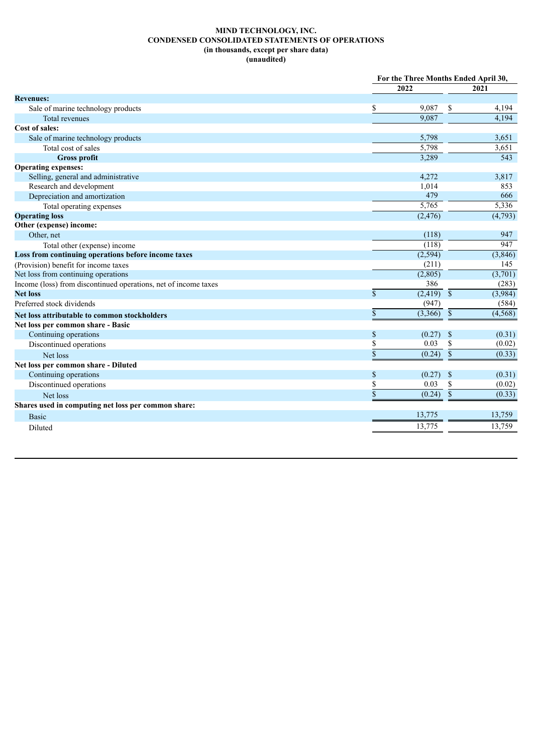## **MIND TECHNOLOGY, INC. CONDENSED CONSOLIDATED STATEMENTS OF OPERATIONS (in thousands, except per share data) (unaudited)**

|                                                                 |                         | For the Three Months Ended April 30, |                 |          |
|-----------------------------------------------------------------|-------------------------|--------------------------------------|-----------------|----------|
|                                                                 | 2022                    |                                      |                 | 2021     |
| <b>Revenues:</b>                                                |                         |                                      |                 |          |
| Sale of marine technology products                              | \$                      | 9,087                                | \$              | 4,194    |
| Total revenues                                                  |                         | 9.087                                |                 | 4,194    |
| Cost of sales:                                                  |                         |                                      |                 |          |
| Sale of marine technology products                              |                         | 5,798                                |                 | 3,651    |
| Total cost of sales                                             |                         | 5,798                                |                 | 3,651    |
| <b>Gross profit</b>                                             |                         | 3,289                                |                 | 543      |
| <b>Operating expenses:</b>                                      |                         |                                      |                 |          |
| Selling, general and administrative                             |                         | 4,272                                |                 | 3,817    |
| Research and development                                        |                         | 1,014                                |                 | 853      |
| Depreciation and amortization                                   |                         | 479                                  |                 | 666      |
| Total operating expenses                                        |                         | 5,765                                |                 | 5,336    |
| <b>Operating loss</b>                                           |                         | (2, 476)                             |                 | (4,793)  |
| Other (expense) income:                                         |                         |                                      |                 |          |
| Other, net                                                      |                         | (118)                                |                 | 947      |
| Total other (expense) income                                    |                         | (118)                                |                 | 947      |
| Loss from continuing operations before income taxes             |                         | (2, 594)                             |                 | (3,846)  |
| (Provision) benefit for income taxes                            |                         | (211)                                |                 | 145      |
| Net loss from continuing operations                             |                         | (2,805)                              |                 | (3,701)  |
| Income (loss) from discontinued operations, net of income taxes |                         | 386                                  |                 | (283)    |
| <b>Net loss</b>                                                 | $\mathbf S$             | $(2,419)$ $\overline{\$}$            |                 | (3,984)  |
| Preferred stock dividends                                       |                         | (947)                                |                 | (584)    |
| Net loss attributable to common stockholders                    | $\mathsf{\$}$           | $(3,366)$ \$                         |                 | (4, 568) |
| Net loss per common share - Basic                               |                         |                                      |                 |          |
| Continuing operations                                           | \$                      | (0.27)                               | $\mathcal{S}$   | (0.31)   |
| Discontinued operations                                         | \$                      | 0.03                                 | \$              | (0.02)   |
| Net loss                                                        | $\overline{\mathbb{S}}$ | (0.24)                               | $\overline{\$}$ | (0.33)   |
| Net loss per common share - Diluted                             |                         |                                      |                 |          |
| Continuing operations                                           | \$                      | (0.27)                               | $\mathbb{S}$    | (0.31)   |
| Discontinued operations                                         | \$                      | 0.03                                 | \$              | (0.02)   |
| Net loss                                                        | $\overline{\$}$         | (0.24)                               | $\mathbb{S}$    | (0.33)   |
| Shares used in computing net loss per common share:             |                         |                                      |                 |          |
| <b>Basic</b>                                                    | 13,775                  |                                      |                 | 13,759   |
| Diluted                                                         | 13,775                  |                                      |                 | 13,759   |
|                                                                 |                         |                                      |                 |          |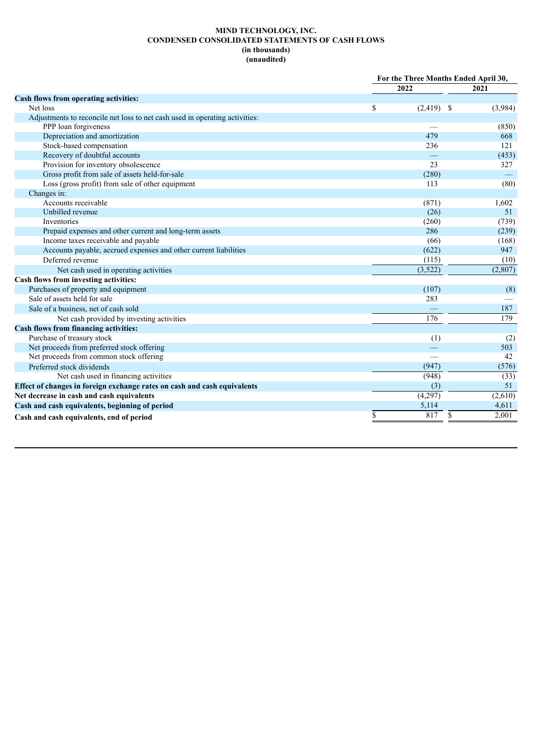## **MIND TECHNOLOGY, INC. CONDENSED CONSOLIDATED STATEMENTS OF CASH FLOWS (in thousands) (unaudited)**

|                                                                             | For the Three Months Ended April 30, |             |
|-----------------------------------------------------------------------------|--------------------------------------|-------------|
|                                                                             | 2022                                 | 2021        |
| Cash flows from operating activities:                                       |                                      |             |
| Net loss                                                                    | \$<br>$(2,419)$ \$                   | (3,984)     |
| Adjustments to reconcile net loss to net cash used in operating activities: |                                      |             |
| PPP loan forgiveness                                                        |                                      | (850)       |
| Depreciation and amortization                                               | 479                                  | 668         |
| Stock-based compensation                                                    | 236                                  | 121         |
| Recovery of doubtful accounts                                               |                                      | (453)       |
| Provision for inventory obsolescence                                        | 23                                   | 327         |
| Gross profit from sale of assets held-for-sale                              | (280)                                |             |
| Loss (gross profit) from sale of other equipment                            | 113                                  | (80)        |
| Changes in:                                                                 |                                      |             |
| Accounts receivable                                                         | (871)                                | 1,602       |
| Unbilled revenue                                                            | (26)                                 | 51          |
| Inventories                                                                 | (260)                                | (739)       |
| Prepaid expenses and other current and long-term assets                     | 286                                  | (239)       |
| Income taxes receivable and payable                                         | (66)                                 | (168)       |
| Accounts payable, accrued expenses and other current liabilities            | (622)                                | 947         |
| Deferred revenue                                                            | (115)                                | (10)        |
| Net cash used in operating activities                                       | (3,522)                              | (2,807)     |
| Cash flows from investing activities:                                       |                                      |             |
| Purchases of property and equipment                                         | (107)                                | (8)         |
| Sale of assets held for sale                                                | 283                                  |             |
| Sale of a business, net of cash sold                                        |                                      | 187         |
| Net cash provided by investing activities                                   | 176                                  | 179         |
| <b>Cash flows from financing activities:</b>                                |                                      |             |
| Purchase of treasury stock                                                  | (1)                                  | (2)         |
| Net proceeds from preferred stock offering                                  |                                      | 503         |
| Net proceeds from common stock offering                                     |                                      | 42          |
| Preferred stock dividends                                                   | (947)                                | (576)       |
| Net cash used in financing activities                                       | (948)                                | (33)        |
| Effect of changes in foreign exchange rates on cash and cash equivalents    | (3)                                  | 51          |
| Net decrease in cash and cash equivalents                                   | (4,297)                              | (2,610)     |
| Cash and cash equivalents, beginning of period                              | 5,114                                | 4,611       |
| Cash and cash equivalents, end of period                                    | \$<br>817                            | \$<br>2,001 |